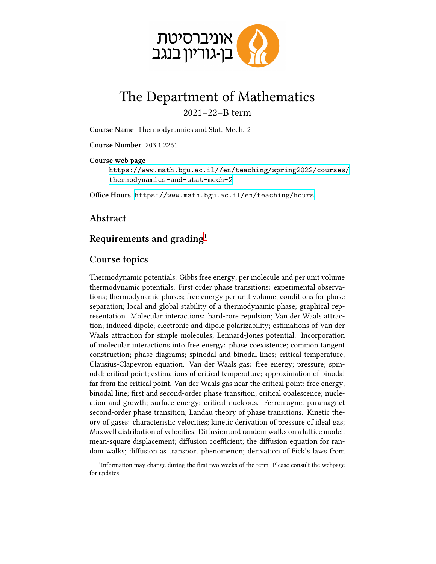

## The Department of Mathematics

2021–22–B term

**Course Name** Thermodynamics and Stat. Mech. 2

**Course Number** 203 .1 .2261

**Course web page**

[https://www.math.bgu.ac.il//en/teaching/spring2022/courses/](https://www.math.bgu.ac.il//en/teaching/spring2022/courses/thermodynamics-and-stat-mech-2) [thermodynamics-and-stat-mech-2](https://www.math.bgu.ac.il//en/teaching/spring2022/courses/thermodynamics-and-stat-mech-2)

**Office Hours** <https://www.math.bgu.ac.il/en/teaching/hours>

## **Abstract**

## **Requirements and grading**[1](#page-0-0)

## **Course topics**

Thermodynamic potentials: Gibbs free energy; per molecule and per unit volume thermodynamic potentials. First order phase transitions: experimental observations; thermodynamic phases; free energy per unit volume; conditions for phase separation; local and global stability of a thermodynamic phase; graphical representation. Molecular interactions: hard-core repulsion; Van der Waals attraction; induced dipole; electronic and dipole polarizability; estimations of Van der Waals attraction for simple molecules; Lennard-Jones potential. Incorporation of molecular interactions into free energy: phase coexistence; common tangent construction; phase diagrams; spinodal and binodal lines; critical temperature; Clausius-Clapeyron equation. Van der Waals gas: free energy; pressure; spinodal; critical point; estimations of critical temperature; approximation of binodal far from the critical point. Van der Waals gas near the critical point: free energy; binodal line; first and second-order phase transition; critical opalescence; nucleation and growth; surface energy; critical nucleous. Ferromagnet-paramagnet second-order phase transition; Landau theory of phase transitions. Kinetic theory of gases: characteristic velocities; kinetic derivation of pressure of ideal gas; Maxwell distribution of velocities. Diffusion and random walks on a lattice model: mean-square displacement; diffusion coefficient; the diffusion equation for random walks; diffusion as transport phenomenon; derivation of Fick's laws from

<span id="page-0-0"></span><sup>&</sup>lt;sup>1</sup>Information may change during the first two weeks of the term. Please consult the webpage for updates